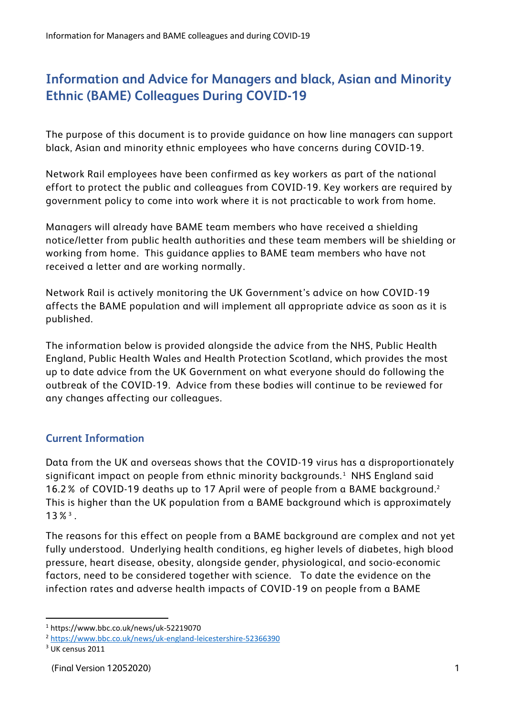## **Information and Advice for Managers and black, Asian and Minority Ethnic (BAME) Colleagues During COVID-19**

The purpose of this document is to provide guidance on how line managers can support black, Asian and minority ethnic employees who have concerns during COVID-19.

Network Rail employees have been confirmed as key workers as part of the national effort to protect the public and colleagues from COVID-19. Key workers are required by government policy to come into work where it is not practicable to work from home.

Managers will already have BAME team members who have received a shielding notice/letter from public health authorities and these team members will be shielding or working from home. This guidance applies to BAME team members who have not received a letter and are working normally.

Network Rail is actively monitoring the UK Government's advice on how COVID-19 affects the BAME population and will implement all appropriate advice as soon as it is published.

The information below is provided alongside the advice from the NHS, Public Health England, Public Health Wales and Health Protection Scotland, which provides the most up to date advice from the UK Government on what everyone should do following the outbreak of the COVID-19. Advice from these bodies will continue to be reviewed for any changes affecting our colleagues.

## **Current Information**

Data from the UK and overseas shows that the COVID-19 virus has a disproportionately significant impact on people from ethnic minority backgrounds.<sup>1</sup> NHS England said 16.2% of COVID-19 deaths up to 17 April were of people from a BAME background. 2 This is higher than the UK population from a BAME background which is approximately 13%<sup>3</sup> .

The reasons for this effect on people from a BAME background are complex and not yet fully understood. Underlying health conditions, eg higher levels of diabetes, high blood pressure, heart disease, obesity, alongside gender, physiological, and socio-economic factors, need to be considered together with science. To date the evidence on the infection rates and adverse health impacts of COVID-19 on people from a BAME

**<sup>.</sup>** <sup>1</sup> https://www.bbc.co.uk/news/uk-52219070

<sup>2</sup> <https://www.bbc.co.uk/news/uk-england-leicestershire-52366390>

<sup>&</sup>lt;sup>3</sup> UK census 2011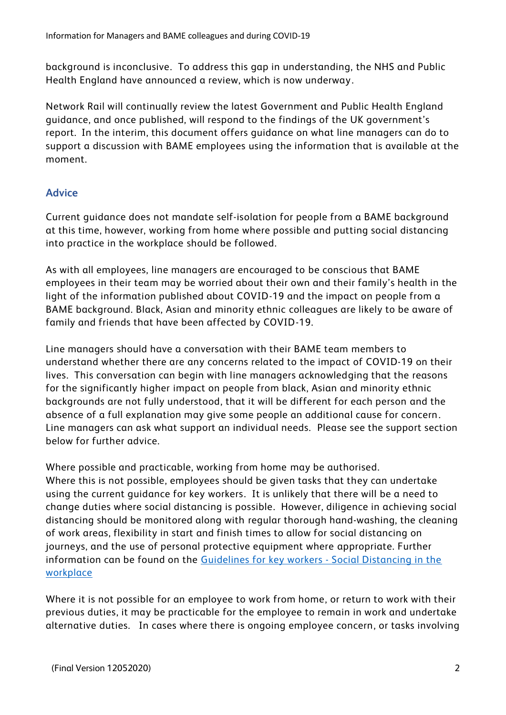background is inconclusive. To address this gap in understanding, the NHS and Public Health England have announced a review, which is now underway.

Network Rail will continually review the latest Government and Public Health England guidance, and once published, will respond to the findings of the UK government's report. In the interim, this document offers guidance on what line managers can do to support a discussion with BAME employees using the information that is available at the moment.

## **Advice**

Current guidance does not mandate self-isolation for people from a BAME background at this time, however, working from home where possible and putting social distancing into practice in the workplace should be followed.

As with all employees, line managers are encouraged to be conscious that BAME employees in their team may be worried about their own and their family's health in the light of the information published about COVID-19 and the impact on people from a BAME background. Black, Asian and minority ethnic colleagues are likely to be aware of family and friends that have been affected by COVID-19.

Line managers should have a conversation with their BAME team members to understand whether there are any concerns related to the impact of COVID-19 on their lives. This conversation can begin with line managers acknowledging that the reasons for the significantly higher impact on people from black, Asian and minority ethnic backgrounds are not fully understood, that it will be different for each person and the absence of a full explanation may give some people an additional cause for concern. Line managers can ask what support an individual needs. Please see the support section below for further advice.

Where possible and practicable, working from home may be authorised. Where this is not possible, employees should be given tasks that they can undertake using the current guidance for key workers. It is unlikely that there will be a need to change duties where social distancing is possible. However, diligence in achieving social distancing should be monitored along with regular thorough hand-washing, the cleaning of work areas, flexibility in start and finish times to allow for social distancing on journeys, and the use of personal protective equipment where appropriate. Further information can be found on the [Guidelines for key workers -](https://networkrail.sharepoint.com/sites/myconnect/communications/Documents/Guidelines_on_Social_Distancing_for_Key_workers.pdf?csf=1&e=dHDO38&cid=7cac37ea-8bc3-4f45-ab18-0db9caae87df) Social Distancing in the [workplace](https://networkrail.sharepoint.com/sites/myconnect/communications/Documents/Guidelines_on_Social_Distancing_for_Key_workers.pdf?csf=1&e=dHDO38&cid=7cac37ea-8bc3-4f45-ab18-0db9caae87df)

Where it is not possible for an employee to work from home, or return to work with their previous duties, it may be practicable for the employee to remain in work and undertake alternative duties. In cases where there is ongoing employee concern, or tasks involving